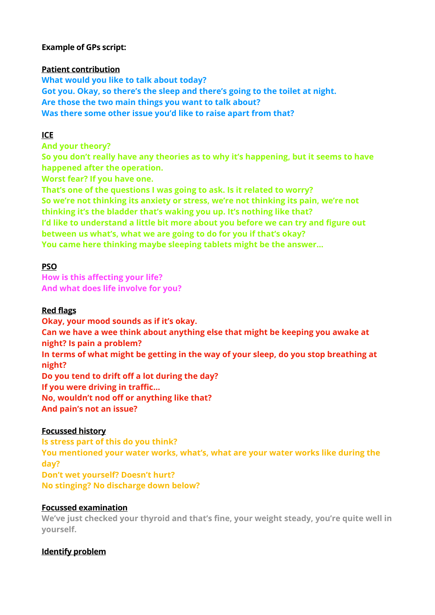## **Example of GPs script:**

### **Patient contribution**

**What would you like to talk about today? Got you. Okay, so there's the sleep and there's going to the toilet at night. Are those the two main things you want to talk about? Was there some other issue you'd like to raise apart from that?** 

# **ICE**

**And your theory?** 

**So you don't really have any theories as to why it's happening, but it seems to have happened after the operation.** 

**Worst fear? If you have one.** 

**That's one of the questions I was going to ask. Is it related to worry? So we're not thinking its anxiety or stress, we're not thinking its pain, we're not thinking it's the bladder that's waking you up. It's nothing like that? I'd like to understand a little bit more about you before we can try and figure out between us what's, what we are going to do for you if that's okay? You came here thinking maybe sleeping tablets might be the answer…** 

## **PSO**

**How is this affecting your life? And what does life involve for you?** 

### **Red flags**

**Okay, your mood sounds as if it's okay. Can we have a wee think about anything else that might be keeping you awake at night? Is pain a problem? In terms of what might be getting in the way of your sleep, do you stop breathing at night? Do you tend to drift off a lot during the day? If you were driving in traffic… No, wouldn't nod off or anything like that? And pain's not an issue?** 

#### **Focussed history**

**Is stress part of this do you think? You mentioned your water works, what's, what are your water works like during the day? Don't wet yourself? Doesn't hurt? No stinging? No discharge down below?** 

#### **Focussed examination**

**We've just checked your thyroid and that's fine, your weight steady, you're quite well in yourself.** 

#### **Identify problem**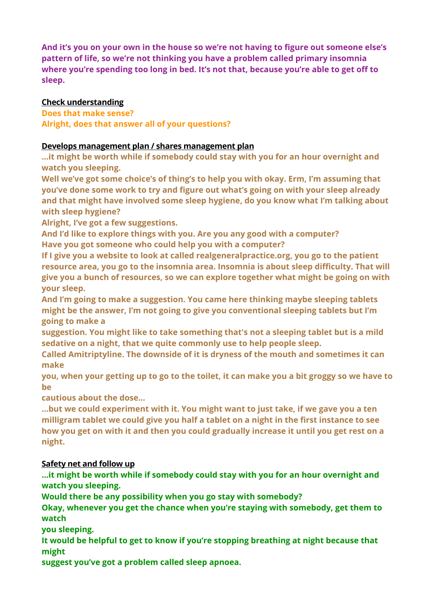**And it's you on your own in the house so we're not having to figure out someone else's pattern of life, so we're not thinking you have a problem called primary insomnia where you're spending too long in bed. It's not that, because you're able to get off to sleep.** 

## **Check understanding**

**Does that make sense? Alright, does that answer all of your questions?** 

## **Develops management plan / shares management plan**

**…it might be worth while if somebody could stay with you for an hour overnight and watch you sleeping.** 

**Well we've got some choice's of thing's to help you with okay. Erm, I'm assuming that you've done some work to try and figure out what's going on with your sleep already and that might have involved some sleep hygiene, do you know what I'm talking about with sleep hygiene?** 

**Alright, I've got a few suggestions.** 

**And I'd like to explore things with you. Are you any good with a computer? Have you got someone who could help you with a computer?** 

**If I give you a website to look at called realgeneralpractice.org, you go to the patient resource area, you go to the insomnia area. Insomnia is about sleep difficulty. That will give you a bunch of resources, so we can explore together what might be going on with your sleep.** 

**And I'm going to make a suggestion. You came here thinking maybe sleeping tablets might be the answer, I'm not going to give you conventional sleeping tablets but I'm going to make a** 

**suggestion. You might like to take something that's not a sleeping tablet but is a mild sedative on a night, that we quite commonly use to help people sleep.** 

**Called Amitriptyline. The downside of it is dryness of the mouth and sometimes it can make** 

**you, when your getting up to go to the toilet, it can make you a bit groggy so we have to be** 

**cautious about the dose…** 

**…but we could experiment with it. You might want to just take, if we gave you a ten milligram tablet we could give you half a tablet on a night in the first instance to see how you get on with it and then you could gradually increase it until you get rest on a night.** 

## **Safety net and follow up**

**…it might be worth while if somebody could stay with you for an hour overnight and watch you sleeping.** 

**Would there be any possibility when you go stay with somebody?** 

**Okay, whenever you get the chance when you're staying with somebody, get them to watch** 

**you sleeping.** 

**It would be helpful to get to know if you're stopping breathing at night because that might** 

**suggest you've got a problem called sleep apnoea.**